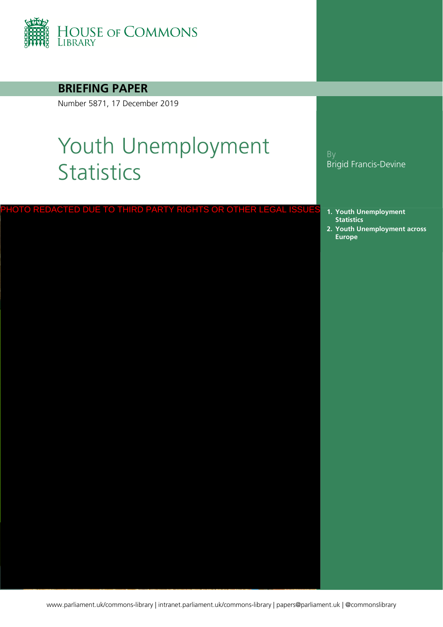

**BRIEFING PAPER**

Number 5871, 17 December 2019

# Youth Unemployment **Statistics**

|  |  |  |  | PHOTO REDACTED DUE TO THIRD PARTY RIGHTS OR OTHER LEGAL ISSUES |  |  |
|--|--|--|--|----------------------------------------------------------------|--|--|
|  |  |  |  |                                                                |  |  |
|  |  |  |  |                                                                |  |  |

#### By Brigid Francis-Devine

- **1. [Youth Unemployment](#page-1-0)  Statistics**
- **2. [Youth Unemployment across](#page-3-0)  Europe**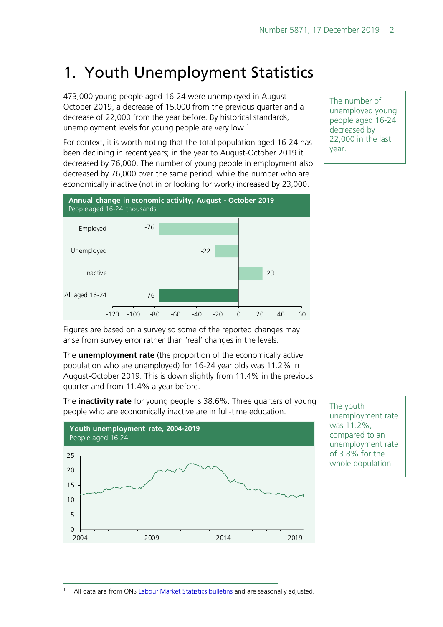# <span id="page-1-0"></span>1. Youth Unemployment Statistics

473,000 young people aged 16-24 were unemployed in August-October 2019, a decrease of 15,000 from the previous quarter and a decrease of 22,000 from the year before. By historical standards, unemployment levels for young people are very low.<sup>[1](#page-1-1)</sup>

For context, it is worth noting that the total population aged 16-24 has been declining in recent years; in the year to August-October 2019 it decreased by 76,000. The number of young people in employment also decreased by 76,000 over the same period, while the number who are economically inactive (not in or looking for work) increased by 23,000.

-76 -22 23 -76 -120 -100 -80 -60 -40 -20 0 20 40 60 Employed Unemployed Inactive All aged 16-24 **Annual change in economic activity, August - October 2019** People aged 16-24, thousands

The number of unemployed young people aged 16-24 decreased by 22,000 in the last year.

Figures are based on a survey so some of the reported changes may arise from survey error rather than 'real' changes in the levels.

The **unemployment rate** (the proportion of the economically active population who are unemployed) for 16-24 year olds was 11.2% in August-October 2019. This is down slightly from 11.4% in the previous quarter and from 11.4% a year before.

The **inactivity rate** for young people is 38.6%. Three quarters of young people who are economically inactive are in full-time education.



The youth unemployment rate was 11.2%, compared to an unemployment rate of 3.8% for the whole population.

<span id="page-1-1"></span>All data are from ONS [Labour Market Statistics bulletins](https://www.ons.gov.uk/employmentandlabourmarket/peopleinwork/employmentandemployeetypes/bulletins/uklabourmarket/previousReleases) and are seasonally adjusted.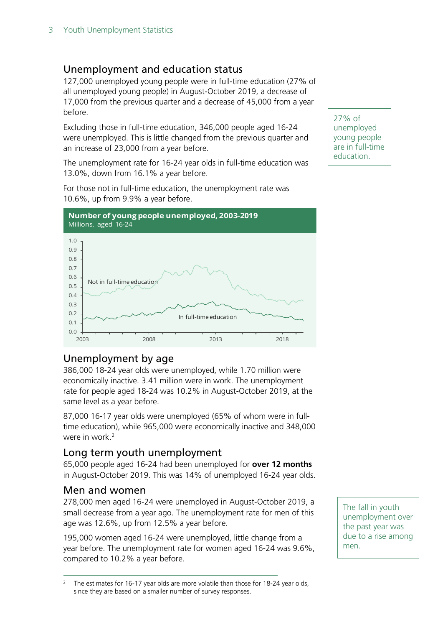# Unemployment and education status

127,000 unemployed young people were in full-time education (27% of all unemployed young people) in August-October 2019, a decrease of 17,000 from the previous quarter and a decrease of 45,000 from a year before.

Excluding those in full-time education, 346,000 people aged 16-24 were unemployed. This is little changed from the previous quarter and an increase of 23,000 from a year before.

The unemployment rate for 16-24 year olds in full-time education was 13.0%, down from 16.1% a year before.

For those not in full-time education, the unemployment rate was 10.6%, up from 9.9% a year before.



#### 27% of unemployed young people are in full-time education.

# Unemployment by age

386,000 18-24 year olds were unemployed, while 1.70 million were economically inactive. 3.41 million were in work. The unemployment rate for people aged 18-24 was 10.2% in August-October 2019, at the same level as a year before.

87,000 16-17 year olds were unemployed (65% of whom were in fulltime education), while 965,000 were economically inactive and 348,000 were in work.<sup>[2](#page-2-0)</sup>

# Long term youth unemployment

65,000 people aged 16-24 had been unemployed for **over 12 months** in August-October 2019. This was 14% of unemployed 16-24 year olds.

#### Men and women

278,000 men aged 16-24 were unemployed in August-October 2019, a small decrease from a year ago. The unemployment rate for men of this age was 12.6%, up from 12.5% a year before.

195,000 women aged 16-24 were unemployed, little change from a year before. The unemployment rate for women aged 16-24 was 9.6%, compared to 10.2% a year before.

The fall in youth unemployment over the past year was due to a rise among men.

<span id="page-2-0"></span>The estimates for 16-17 year olds are more volatile than those for 18-24 year olds, since they are based on a smaller number of survey responses.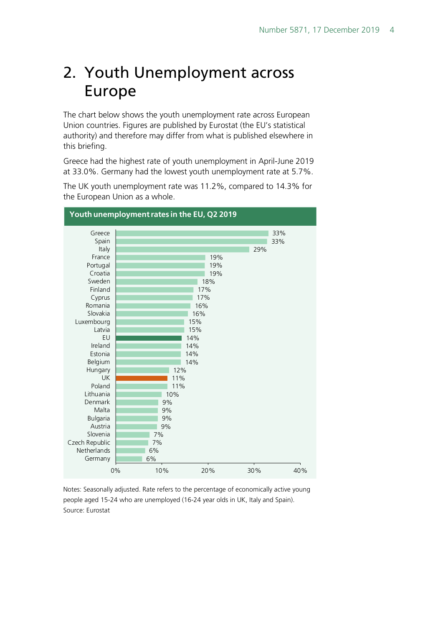# <span id="page-3-0"></span>2. Youth Unemployment across Europe

The chart below shows the youth unemployment rate across European Union countries. Figures are published by Eurostat (the EU's statistical authority) and therefore may differ from what is published elsewhere in this briefing.

Greece had the highest rate of youth unemployment in April-June 2019 at 33.0%. Germany had the lowest youth unemployment rate at 5.7%.



The UK youth unemployment rate was 11.2%, compared to 14.3% for the European Union as a whole.

Notes: Seasonally adjusted. Rate refers to the percentage of economically active young people aged 15-24 who are unemployed (16-24 year olds in UK, Italy and Spain). Source: Eurostat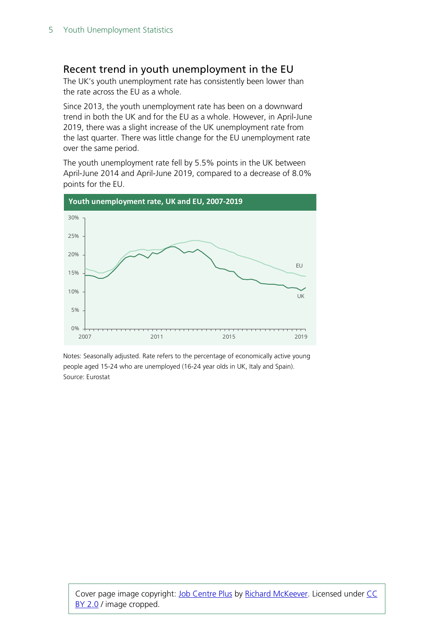## Recent trend in youth unemployment in the EU

The UK's youth unemployment rate has consistently been lower than the rate across the EU as a whole.

Since 2013, the youth unemployment rate has been on a downward trend in both the UK and for the EU as a whole. However, in April-June 2019, there was a slight increase of the UK unemployment rate from the last quarter. There was little change for the EU unemployment rate over the same period.

The youth unemployment rate fell by 5.5% points in the UK between April-June 2014 and April-June 2019, compared to a decrease of 8.0% points for the EU.



Notes: Seasonally adjusted. Rate refers to the percentage of economically active young people aged 15-24 who are unemployed (16-24 year olds in UK, Italy and Spain). Source: Eurostat

Cover page image copyright: [Job Centre Plus](https://www.flickr.com/photos/richardmckeever/2901665402/) by [Richard McKeever.](https://www.flickr.com/photos/richardmckeever/2901665402/) Licensed under CC [BY 2.0](https://creativecommons.org/licenses/by-nc/2.0/) / image cropped.